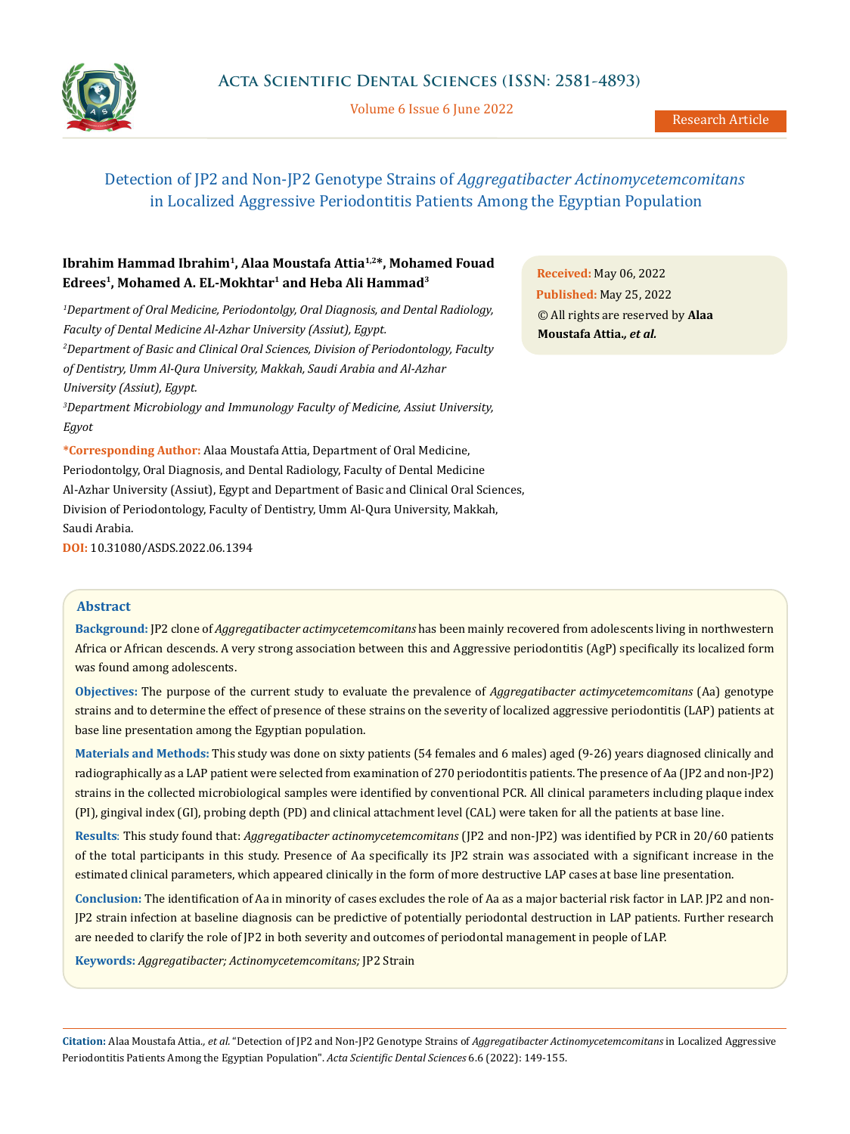

Volume 6 Issue 6 June 2022

# Detection of JP2 and Non-JP2 Genotype Strains of *Aggregatibacter Actinomycetemcomitans* in Localized Aggressive Periodontitis Patients Among the Egyptian Population

## **Ibrahim Hammad Ibrahim1, Alaa Moustafa Attia1,2\*, Mohamed Fouad Edrees1, Mohamed A. EL-Mokhtar1 and Heba Ali Hammad3**

*1 Department of Oral Medicine, Periodontolgy, Oral Diagnosis, and Dental Radiology, Faculty of Dental Medicine Al-Azhar University (Assiut), Egypt. 2 Department of Basic and Clinical Oral Sciences, Division of Periodontology, Faculty of Dentistry, Umm Al-Qura University, Makkah, Saudi Arabia and Al-Azhar University (Assiut), Egypt.* 

*3 Department Microbiology and Immunology Faculty of Medicine, Assiut University, Egyot*

**\*Corresponding Author:** Alaa Moustafa Attia, Department of Oral Medicine, Periodontolgy, Oral Diagnosis, and Dental Radiology, Faculty of Dental Medicine Al-Azhar University (Assiut), Egypt and Department of Basic and Clinical Oral Sciences, Division of Periodontology, Faculty of Dentistry, Umm Al-Qura University, Makkah, Saudi Arabia.

**DOI:** [10.31080/ASDS.2022.06.1394](https://actascientific.com/ASDS/pdf/ASDS-06-1394.pdf)

**Received:** May 06, 2022 **Published:** May 25, 2022 © All rights are reserved by **Alaa Moustafa Attia.***, et al.*

#### **Abstract**

**Background:** JP2 clone of *Aggregatibacter actimycetemcomitans* has been mainly recovered from adolescents living in northwestern Africa or African descends. A very strong association between this and Aggressive periodontitis (AgP) specifically its localized form was found among adolescents.

**Objectives:** The purpose of the current study to evaluate the prevalence of *Aggregatibacter actimycetemcomitans* (Aa) genotype strains and to determine the effect of presence of these strains on the severity of localized aggressive periodontitis (LAP) patients at base line presentation among the Egyptian population.

**Materials and Methods:** This study was done on sixty patients (54 females and 6 males) aged (9-26) years diagnosed clinically and radiographically as a LAP patient were selected from examination of 270 periodontitis patients. The presence of Aa (JP2 and non-JP2) strains in the collected microbiological samples were identified by conventional PCR. All clinical parameters including plaque index (PI), gingival index (GI), probing depth (PD) and clinical attachment level (CAL) were taken for all the patients at base line.

**Results**: This study found that: *Aggregatibacter actinomycetemcomitans* (JP2 and non-JP2) was identified by PCR in 20/60 patients of the total participants in this study. Presence of Aa specifically its JP2 strain was associated with a significant increase in the estimated clinical parameters, which appeared clinically in the form of more destructive LAP cases at base line presentation.

**Conclusion:** The identification of Aa in minority of cases excludes the role of Aa as a major bacterial risk factor in LAP. JP2 and non-JP2 strain infection at baseline diagnosis can be predictive of potentially periodontal destruction in LAP patients. Further research are needed to clarify the role of JP2 in both severity and outcomes of periodontal management in people of LAP.

**Keywords:** *Aggregatibacter; Actinomycetemcomitans;* JP2 Strain

**Citation:** Alaa Moustafa Attia*., et al.* "Detection of JP2 and Non-JP2 Genotype Strains of *Aggregatibacter Actinomycetemcomitans* in Localized Aggressive Periodontitis Patients Among the Egyptian Population". *Acta Scientific Dental Sciences* 6.6 (2022): 149-155.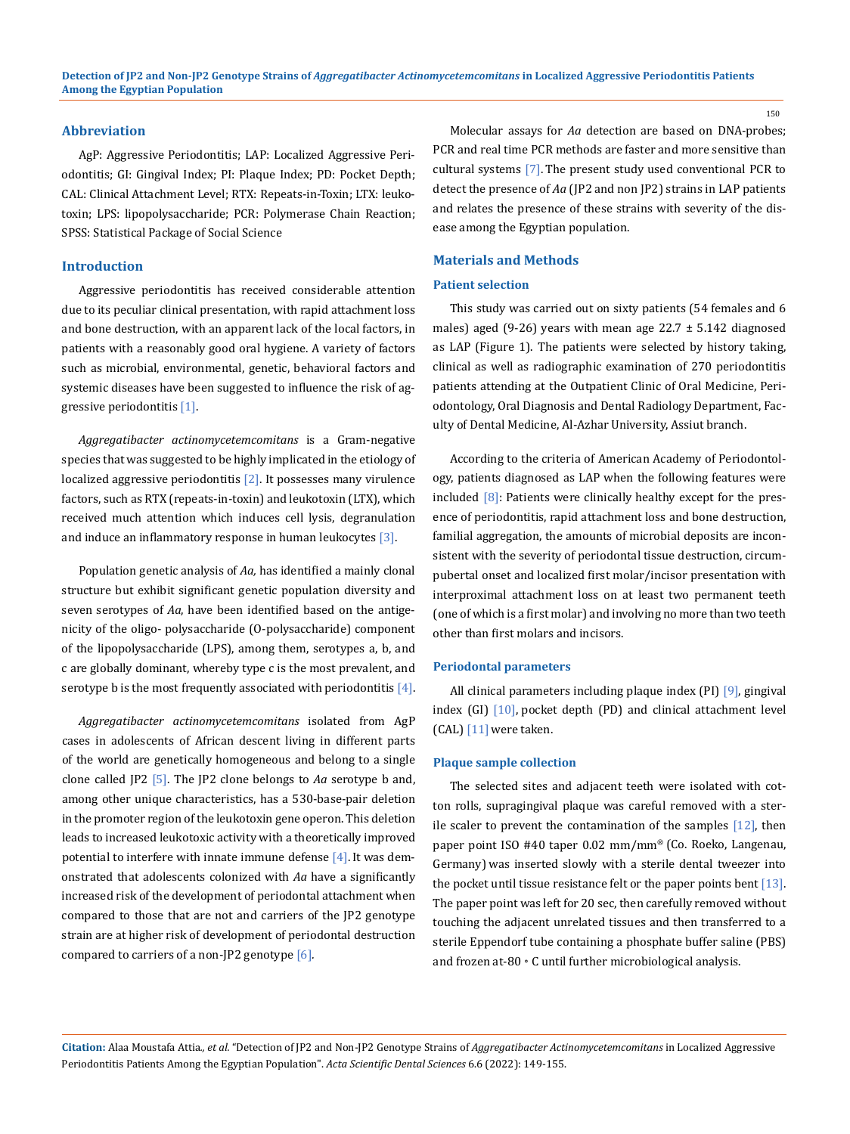#### **Abbreviation**

AgP: Aggressive Periodontitis; LAP: Localized Aggressive Periodontitis; GI: Gingival Index; PI: Plaque Index; PD: Pocket Depth; CAL: Clinical Attachment Level; RTX: Repeats-in-Toxin; LTX: leukotoxin; LPS: lipopolysaccharide; PCR: Polymerase Chain Reaction; SPSS: Statistical Package of Social Science

#### **Introduction**

Aggressive periodontitis has received considerable attention due to its peculiar clinical presentation, with rapid attachment loss and bone destruction, with an apparent lack of the local factors, in patients with a reasonably good oral hygiene. A variety of factors such as microbial, environmental, genetic, behavioral factors and systemic diseases have been suggested to influence the risk of aggressive periodontitis [1].

*Aggregatibacter actinomycetemcomitans* is a Gram-negative species that was suggested to be highly implicated in the etiology of localized aggressive periodontitis  $[2]$ . It possesses many virulence factors, such as RTX (repeats-in-toxin) and leukotoxin (LTX), which received much attention which induces cell lysis, degranulation and induce an inflammatory response in human leukocytes [3].

Population genetic analysis of *Aa,* has identified a mainly clonal structure but exhibit significant genetic population diversity and seven serotypes of *Aa*, have been identified based on the antigenicity of the oligo- polysaccharide (O-polysaccharide) component of the lipopolysaccharide (LPS), among them, serotypes a, b, and c are globally dominant, whereby type c is the most prevalent, and serotype b is the most frequently associated with periodontitis  $[4]$ .

*Aggregatibacter actinomycetemcomitans* isolated from AgP cases in adolescents of African descent living in different parts of the world are genetically homogeneous and belong to a single clone called JP2 [5]. The JP2 clone belongs to *Aa* serotype b and, among other unique characteristics, has a 530-base-pair deletion in the promoter region of the leukotoxin gene operon. This deletion leads to increased leukotoxic activity with a theoretically improved potential to interfere with innate immune defense  $[4]$ . It was demonstrated that adolescents colonized with *Aa* have a significantly increased risk of the development of periodontal attachment when compared to those that are not and carriers of the JP2 genotype strain are at higher risk of development of periodontal destruction compared to carriers of a non-JP2 genotype [6]*.*

Molecular assays for *Aa* detection are based on DNA-probes; PCR and real time PCR methods are faster and more sensitive than cultural systems [7]. The present study used conventional PCR to detect the presence of *Aa* (JP2 and non JP2) strains in LAP patients and relates the presence of these strains with severity of the disease among the Egyptian population.

## **Materials and Methods**

#### **Patient selection**

This study was carried out on sixty patients (54 females and 6 males) aged (9-26) years with mean age  $22.7 \pm 5.142$  diagnosed as LAP (Figure 1). The patients were selected by history taking, clinical as well as radiographic examination of 270 periodontitis patients attending at the Outpatient Clinic of Oral Medicine, Periodontology, Oral Diagnosis and Dental Radiology Department, Faculty of Dental Medicine, Al-Azhar University, Assiut branch.

According to the criteria of American Academy of Periodontology, patients diagnosed as LAP when the following features were included  $[8]$ : Patients were clinically healthy except for the presence of periodontitis, rapid attachment loss and bone destruction, familial aggregation, the amounts of microbial deposits are inconsistent with the severity of periodontal tissue destruction, circumpubertal onset and localized first molar/incisor presentation with interproximal attachment loss on at least two permanent teeth (one of which is a first molar) and involving no more than two teeth other than first molars and incisors.

#### **Periodontal parameters**

All clinical parameters including plaque index (PI) [9], gingival index (GI) [10], pocket depth (PD) and clinical attachment level  $[CAL]$   $[11]$  were taken.

#### **Plaque sample collection**

The selected sites and adjacent teeth were isolated with cotton rolls, supragingival plaque was careful removed with a sterile scaler to prevent the contamination of the samples [12], then paper point ISO #40 taper 0.02 mm/mm® (Co. Roeko, Langenau, Germany) was inserted slowly with a sterile dental tweezer into the pocket until tissue resistance felt or the paper points bent [13]. The paper point was left for 20 sec, then carefully removed without touching the adjacent unrelated tissues and then transferred to a sterile Eppendorf tube containing a phosphate buffer saline (PBS) and frozen at-80◦C until further microbiological analysis.

**Citation:** Alaa Moustafa Attia*., et al.* "Detection of JP2 and Non-JP2 Genotype Strains of *Aggregatibacter Actinomycetemcomitans* in Localized Aggressive Periodontitis Patients Among the Egyptian Population". *Acta Scientific Dental Sciences* 6.6 (2022): 149-155.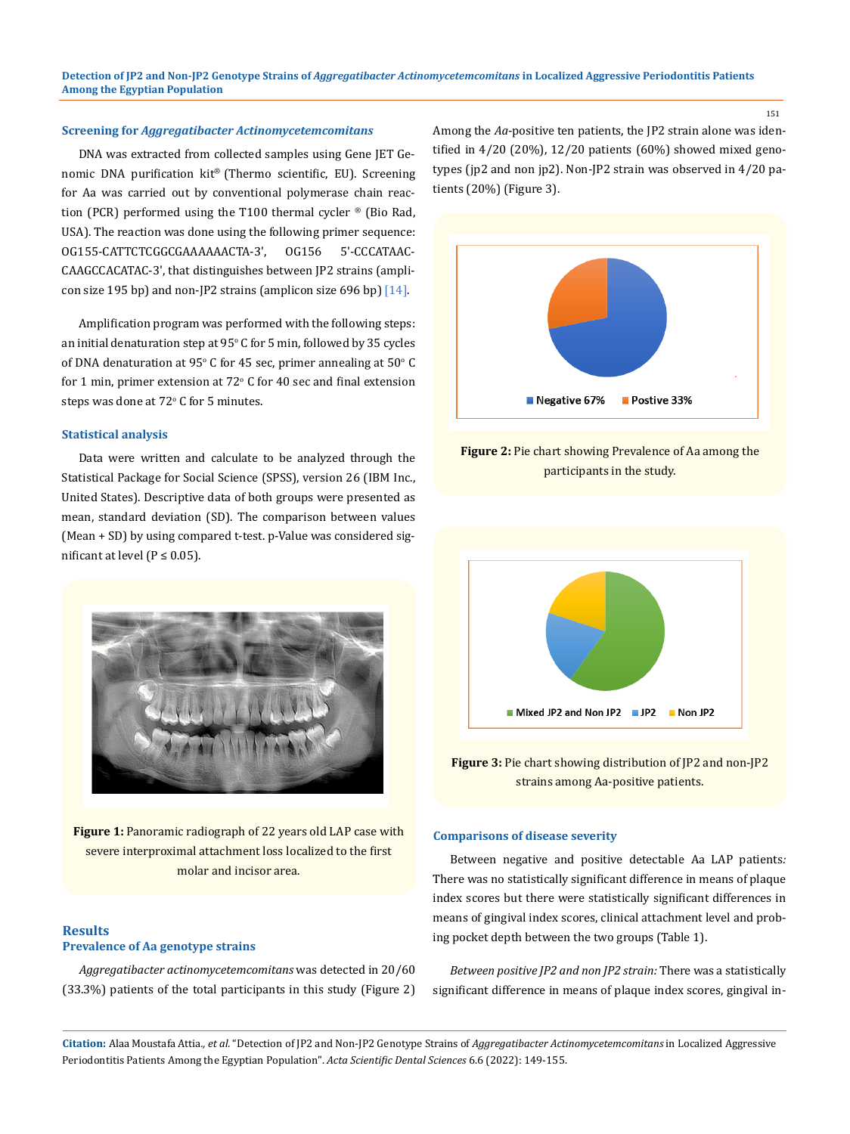**Detection of JP2 and Non-JP2 Genotype Strains of** *Aggregatibacter Actinomycetemcomitans* **in Localized Aggressive Periodontitis Patients Among the Egyptian Population**

#### **Screening for** *Aggregatibacter Actinomycetemcomitans*

DNA was extracted from collected samples using Gene JET Genomic DNA purification kit® (Thermo scientific, EU). Screening for Aa was carried out by conventional polymerase chain reaction (PCR) performed using the T100 thermal cycler ® (Bio Rad, USA). The reaction was done using the following primer sequence: OG155-CATTCTCGGCGAAAAAACTA-3', OG156 5'-CCCATAAC-CAAGCCACATAC-3', that distinguishes between JP2 strains (amplicon size 195 bp) and non-JP2 strains (amplicon size 696 bp)  $[14]$ .

Amplification program was performed with the following steps: an initial denaturation step at  $95^{\circ}$  C for 5 min, followed by 35 cycles of DNA denaturation at  $95^{\circ}$  C for 45 sec, primer annealing at  $50^{\circ}$  C for 1 min, primer extension at  $72^{\circ}$  C for 40 sec and final extension steps was done at  $72^{\circ}$  C for 5 minutes.

#### **Statistical analysis**

Data were written and calculate to be analyzed through the Statistical Package for Social Science (SPSS), version 26 (IBM Inc., United States). Descriptive data of both groups were presented as mean, standard deviation (SD). The comparison between values (Mean + SD) by using compared t-test. p-Value was considered significant at level ( $P \le 0.05$ ).



**Figure 1:** Panoramic radiograph of 22 years old LAP case with severe interproximal attachment loss localized to the first molar and incisor area.

#### **Results Prevalence of Aa genotype strains**

*Aggregatibacter actinomycetemcomitans* was detected in 20/60 (33.3%) patients of the total participants in this study (Figure 2) Among the *Aa*-positive ten patients, the JP2 strain alone was identified in 4/20 (20%), 12/20 patients (60%) showed mixed genotypes (jp2 and non jp2). Non-JP2 strain was observed in 4/20 patients (20%) (Figure 3).



**Figure 2:** Pie chart showing Prevalence of Aa among the participants in the study.



**Figure 3:** Pie chart showing distribution of JP2 and non-JP2 strains among Aa-positive patients.

#### **Comparisons of disease severity**

Between negative and positive detectable Aa LAP patients*:* There was no statistically significant difference in means of plaque index scores but there were statistically significant differences in means of gingival index scores, clinical attachment level and probing pocket depth between the two groups (Table 1).

*Between positive JP2 and non JP2 strain:* There was a statistically significant difference in means of plaque index scores, gingival in-

**Citation:** Alaa Moustafa Attia*., et al.* "Detection of JP2 and Non-JP2 Genotype Strains of *Aggregatibacter Actinomycetemcomitans* in Localized Aggressive Periodontitis Patients Among the Egyptian Population". *Acta Scientific Dental Sciences* 6.6 (2022): 149-155.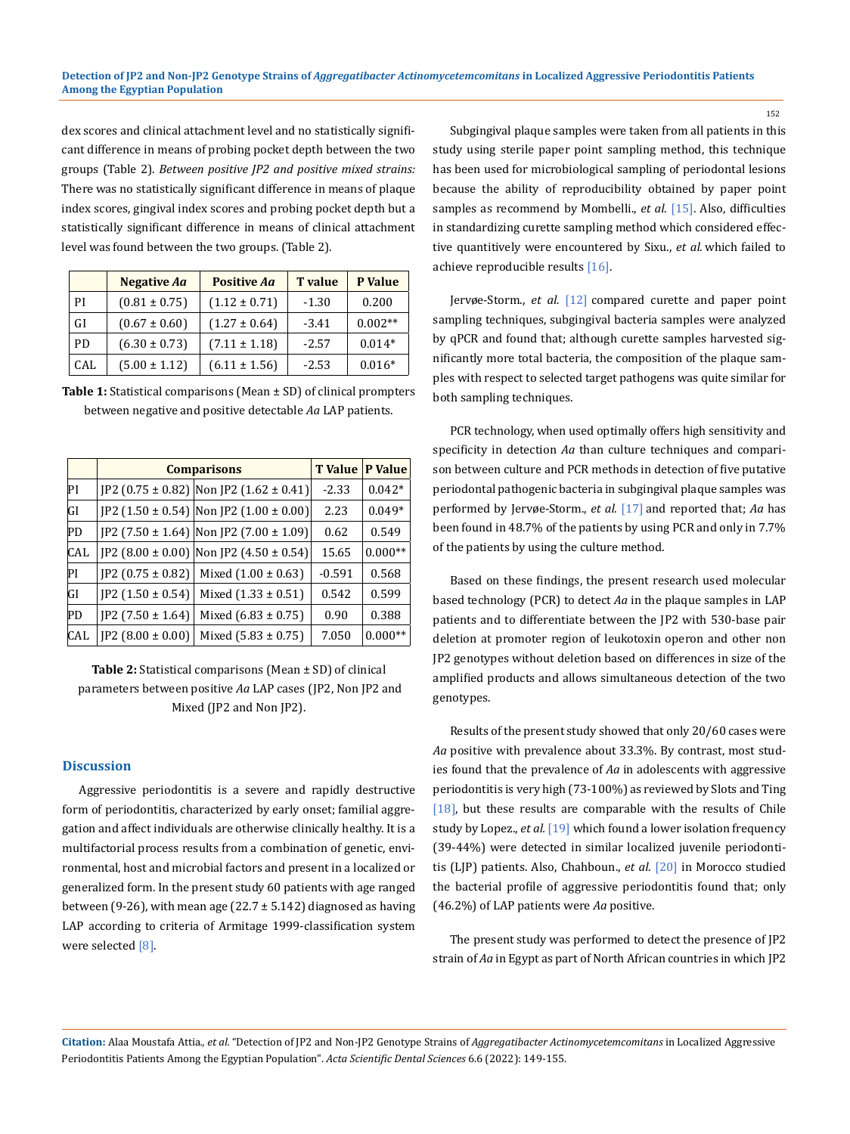dex scores and clinical attachment level and no statistically significant difference in means of probing pocket depth between the two groups (Table 2). *Between positive JP2 and positive mixed strains:* There was no statistically significant difference in means of plaque index scores, gingival index scores and probing pocket depth but a statistically significant difference in means of clinical attachment level was found between the two groups. (Table 2).

|           | <b>Negative Aa</b> | <b>Positive Aa</b> | <b>T</b> value | P Value   |
|-----------|--------------------|--------------------|----------------|-----------|
| PI        | $(0.81 \pm 0.75)$  | $(1.12 \pm 0.71)$  | $-1.30$        | 0.200     |
| <b>GI</b> | $(0.67 \pm 0.60)$  | $(1.27 \pm 0.64)$  | $-3.41$        | $0.002**$ |
| PD.       | $(6.30 \pm 0.73)$  | $(7.11 \pm 1.18)$  | $-2.57$        | $0.014*$  |
| CAL       | $(5.00 \pm 1.12)$  | $(6.11 \pm 1.56)$  | $-2.53$        | $0.016*$  |

| <b>Table 1:</b> Statistical comparisons (Mean $\pm$ SD) of clinical prompters |
|-------------------------------------------------------------------------------|
| between negative and positive detectable Aq LAP patients.                     |

|            | <b>Comparisons</b>     |                                              | <b>T</b> Value | <b>P</b> Value |
|------------|------------------------|----------------------------------------------|----------------|----------------|
| PI         |                        | JP2 (0.75 ± 0.82)  Non JP2 (1.62 ± 0.41)     | $-2.33$        | $0.042*$       |
| <b>GI</b>  |                        | $[$ P2 (1.50 ± 0.54)   Non JP2 (1.00 ± 0.00) | 2.23           | $0.049*$       |
| PD         |                        | $[$ P2 (7.50 ± 1.64)   Non JP2 (7.00 ± 1.09) | 0.62           | 0.549          |
| <b>CAL</b> |                        | JP2 (8.00 ± 0.00) Non JP2 (4.50 ± 0.54)      | 15.65          | $0.000**$      |
| PI         | $[P2 (0.75 \pm 0.82)]$ | Mixed $(1.00 \pm 0.63)$                      | $-0.591$       | 0.568          |
| <b>GI</b>  | $IP2(1.50 \pm 0.54)$   | Mixed $(1.33 \pm 0.51)$                      | 0.542          | 0.599          |
| PD         | $IP2(7.50 \pm 1.64)$   | Mixed $(6.83 \pm 0.75)$                      | 0.90           | 0.388          |
| <b>CAL</b> | $[P2 (8.00 \pm 0.00)]$ | Mixed $(5.83 \pm 0.75)$                      | 7.050          | $0.000**$      |

**Table 2:** Statistical comparisons (Mean ± SD) of clinical parameters between positive *Aa* LAP cases (JP2, Non JP2 and Mixed (JP2 and Non JP2).

## **Discussion**

Aggressive periodontitis is a severe and rapidly destructive form of periodontitis, characterized by early onset; familial aggregation and affect individuals are otherwise clinically healthy. It is a multifactorial process results from a combination of genetic, environmental, host and microbial factors and present in a localized or generalized form. In the present study 60 patients with age ranged between (9-26), with mean age (22.7  $\pm$  5.142) diagnosed as having LAP according to criteria of Armitage 1999-classification system were selected [8].

Subgingival plaque samples were taken from all patients in this study using sterile paper point sampling method, this technique has been used for microbiological sampling of periodontal lesions because the ability of reproducibility obtained by paper point samples as recommend by Mombelli., *et al.* [15]. Also, difficulties in standardizing curette sampling method which considered effective quantitively were encountered by Sixu., *et al.* which failed to achieve reproducible results [16].

Jervøe-Storm., *et al.* [12] compared curette and paper point sampling techniques, subgingival bacteria samples were analyzed by qPCR and found that; although curette samples harvested significantly more total bacteria, the composition of the plaque samples with respect to selected target pathogens was quite similar for both sampling techniques.

PCR technology, when used optimally offers high sensitivity and specificity in detection *Aa* than culture techniques and comparison between culture and PCR methods in detection of five putative periodontal pathogenic bacteria in subgingival plaque samples was performed by Jervøe-Storm., *et al.* [17] and reported that; *Aa* has been found in 48.7% of the patients by using PCR and only in 7.7% of the patients by using the culture method.

Based on these findings, the present research used molecular based technology (PCR) to detect *Aa* in the plaque samples in LAP patients and to differentiate between the JP2 with 530-base pair deletion at promoter region of leukotoxin operon and other non JP2 genotypes without deletion based on differences in size of the amplified products and allows simultaneous detection of the two genotypes.

Results of the present study showed that only 20/60 cases were *Aa* positive with prevalence about 33.3%. By contrast, most studies found that the prevalence of *Aa* in adolescents with aggressive periodontitis is very high (73-100%) as reviewed by Slots and Ting [18], but these results are comparable with the results of Chile study by Lopez., *et al.* [19] which found a lower isolation frequency (39-44%) were detected in similar localized juvenile periodontitis (LJP) patients. Also, Chahboun., *et al.* [20] in Morocco studied the bacterial profile of aggressive periodontitis found that; only (46.2%) of LAP patients were *Aa* positive.

The present study was performed to detect the presence of JP2 strain of *Aa* in Egypt as part of North African countries in which JP2

**Citation:** Alaa Moustafa Attia*., et al.* "Detection of JP2 and Non-JP2 Genotype Strains of *Aggregatibacter Actinomycetemcomitans* in Localized Aggressive Periodontitis Patients Among the Egyptian Population". *Acta Scientific Dental Sciences* 6.6 (2022): 149-155.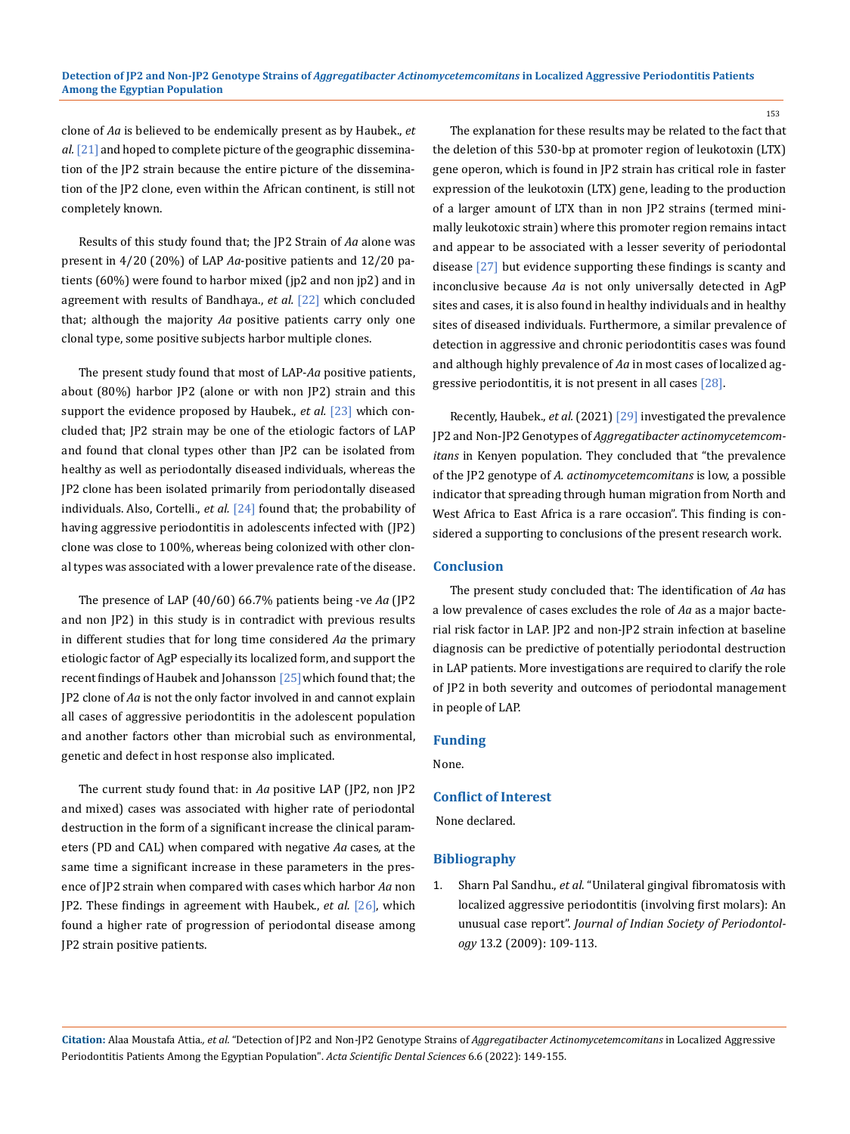clone of *Aa* is believed to be endemically present as by Haubek., *et*  al. [21] and hoped to complete picture of the geographic dissemination of the JP2 strain because the entire picture of the dissemination of the JP2 clone, even within the African continent, is still not completely known.

Results of this study found that; the JP2 Strain of *Aa* alone was present in 4/20 (20%) of LAP *Aa*-positive patients and 12/20 patients (60%) were found to harbor mixed (jp2 and non jp2) and in agreement with results of Bandhaya., *et al.* [22] which concluded that; although the majority *Aa* positive patients carry only one clonal type, some positive subjects harbor multiple clones.

The present study found that most of LAP-*Aa* positive patients, about (80%) harbor JP2 (alone or with non JP2) strain and this support the evidence proposed by Haubek., *et al.* [23] which concluded that; JP2 strain may be one of the etiologic factors of LAP and found that clonal types other than JP2 can be isolated from healthy as well as periodontally diseased individuals, whereas the JP2 clone has been isolated primarily from periodontally diseased individuals. Also, Cortelli., *et al.* [24] found that; the probability of having aggressive periodontitis in adolescents infected with (JP2) clone was close to 100%, whereas being colonized with other clonal types was associated with a lower prevalence rate of the disease.

The presence of LAP (40/60) 66.7% patients being -ve *Aa* (JP2 and non JP2) in this study is in contradict with previous results in different studies that for long time considered *Aa* the primary etiologic factor of AgP especially its localized form, and support the recent findings of Haubek and Johansson [25] which found that; the JP2 clone of *Aa* is not the only factor involved in and cannot explain all cases of aggressive periodontitis in the adolescent population and another factors other than microbial such as environmental, genetic and defect in host response also implicated.

The current study found that: in *Aa* positive LAP (JP2, non JP2 and mixed) cases was associated with higher rate of periodontal destruction in the form of a significant increase the clinical parameters (PD and CAL) when compared with negative *Aa* cases*,* at the same time a significant increase in these parameters in the presence of JP2 strain when compared with cases which harbor *Aa* non JP2. These findings in agreement with Haubek., *et al.* [26], which found a higher rate of progression of periodontal disease among JP2 strain positive patients.

The explanation for these results may be related to the fact that the deletion of this 530-bp at promoter region of leukotoxin (LTX) gene operon, which is found in JP2 strain has critical role in faster expression of the leukotoxin (LTX) gene, leading to the production of a larger amount of LTX than in non JP2 strains (termed minimally leukotoxic strain) where this promoter region remains intact and appear to be associated with a lesser severity of periodontal disease [27] but evidence supporting these findings is scanty and inconclusive because *Aa* is not only universally detected in AgP sites and cases, it is also found in healthy individuals and in healthy sites of diseased individuals. Furthermore, a similar prevalence of detection in aggressive and chronic periodontitis cases was found and although highly prevalence of *Aa* in most cases of localized aggressive periodontitis, it is not present in all cases [28].

Recently, Haubek., *et al.* (2021) [29] investigated the prevalence JP2 and Non-JP2 Genotypes of *Aggregatibacter actinomycetemcomitans* in Kenyen population. They concluded that "the prevalence of the JP2 genotype of *A. actinomycetemcomitans* is low, a possible indicator that spreading through human migration from North and West Africa to East Africa is a rare occasion". This finding is considered a supporting to conclusions of the present research work.

### **Conclusion**

The present study concluded that: The identification of *Aa* has a low prevalence of cases excludes the role of *Aa* as a major bacterial risk factor in LAP. JP2 and non-JP2 strain infection at baseline diagnosis can be predictive of potentially periodontal destruction in LAP patients. More investigations are required to clarify the role of JP2 in both severity and outcomes of periodontal management in people of LAP.

#### **Funding**

None.

## **Conflict of Interest**

None declared.

#### **Bibliography**

1. Sharn Pal Sandhu., *et al*[. "Unilateral gingival fibromatosis with](https://pubmed.ncbi.nlm.nih.gov/20407661/)  [localized aggressive periodontitis \(involving first molars\): An](https://pubmed.ncbi.nlm.nih.gov/20407661/)  unusual case report". *[Journal of Indian Society of Periodontol](https://pubmed.ncbi.nlm.nih.gov/20407661/)ogy* [13.2 \(2009\): 109-113.](https://pubmed.ncbi.nlm.nih.gov/20407661/)

**Citation:** Alaa Moustafa Attia*., et al.* "Detection of JP2 and Non-JP2 Genotype Strains of *Aggregatibacter Actinomycetemcomitans* in Localized Aggressive Periodontitis Patients Among the Egyptian Population". *Acta Scientific Dental Sciences* 6.6 (2022): 149-155.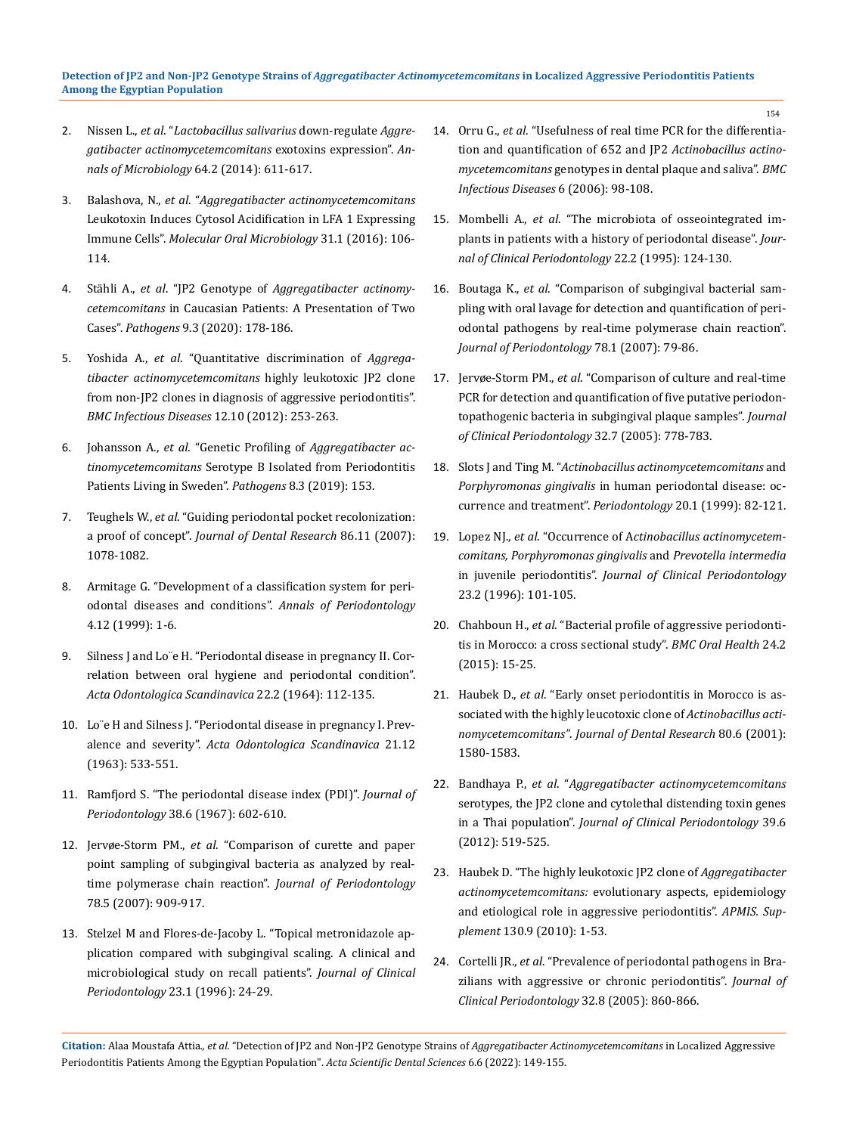#### **Detection of JP2 and Non-JP2 Genotype Strains of** *Aggregatibacter Actinomycetemcomitans* **in Localized Aggressive Periodontitis Patients Among the Egyptian Population**

- 2. Nissen L., *et al*. "*[Lactobacillus salivarius](https://pubmed.ncbi.nlm.nih.gov/24860281/)* down-regulate *Aggre[gatibacter actinomycetemcomitans](https://pubmed.ncbi.nlm.nih.gov/24860281/)* exotoxins expression". *An[nals of Microbiology](https://pubmed.ncbi.nlm.nih.gov/24860281/)* 64.2 (2014): 611-617.
- 3. Balashova, N., *et al*. "*[Aggregatibacter actinomycetemcomitans](https://pubmed.ncbi.nlm.nih.gov/26361372/)* [Leukotoxin Induces Cytosol Acidification in LFA 1 Expressing](https://pubmed.ncbi.nlm.nih.gov/26361372/)  Immune Cells". *[Molecular Oral Microbiology](https://pubmed.ncbi.nlm.nih.gov/26361372/)* 31.1 (2016): 106- [114.](https://pubmed.ncbi.nlm.nih.gov/26361372/)
- 4. Stähli A., *et al*. "JP2 Genotype of *[Aggregatibacter](https://pubmed.ncbi.nlm.nih.gov/32121596/) actinomycetemcomitans* [in Caucasian Patients: A Presentation of Two](https://pubmed.ncbi.nlm.nih.gov/32121596/)  Cases". *Pathogens* [9.3 \(2020\): 178-186.](https://pubmed.ncbi.nlm.nih.gov/32121596/)
- 5. Yoshida A., *et al*[. "Quantitative discrimination of](https://pubmed.ncbi.nlm.nih.gov/23050598/) *Aggregatibacter [actinomycetemcomitans](https://pubmed.ncbi.nlm.nih.gov/23050598/)* highly leukotoxic JP2 clone [from non-JP2 clones in diagnosis of aggressive periodontitis".](https://pubmed.ncbi.nlm.nih.gov/23050598/)  *[BMC Infectious Diseases](https://pubmed.ncbi.nlm.nih.gov/23050598/)* 12.10 (2012): 253-263.
- 6. Johansson A., *et al*. "Genetic Profiling of *[Aggregatibacter ac](https://pubmed.ncbi.nlm.nih.gov/31533208/)tinomycetemcomitans* [Serotype B Isolated from Periodontitis](https://pubmed.ncbi.nlm.nih.gov/31533208/)  [Patients Living in Sweden".](https://pubmed.ncbi.nlm.nih.gov/31533208/) *Pathogens* 8.3 (2019): 153.
- 7. Teughels W., *et al*[. "Guiding periodontal pocket recolonization:](https://pubmed.ncbi.nlm.nih.gov/17959900/)  a proof of concept". *[Journal of Dental Research](https://pubmed.ncbi.nlm.nih.gov/17959900/)* 86.11 (2007): [1078-1082.](https://pubmed.ncbi.nlm.nih.gov/17959900/)
- 8. Armitage G. ["Development of a classification system for peri](https://pubmed.ncbi.nlm.nih.gov/10863370/)[odontal diseases and conditions".](https://pubmed.ncbi.nlm.nih.gov/10863370/) *Annals of Periodontology*  [4.12 \(1999\): 1-6.](https://pubmed.ncbi.nlm.nih.gov/10863370/)
- 9. Silness J and Loïe H. "Periodontal disease in pregnancy II. Cor[relation between oral hygiene and periodontal condition".](https://pubmed.ncbi.nlm.nih.gov/14158464/)  *[Acta Odontologica Scandinavica](https://pubmed.ncbi.nlm.nih.gov/14158464/)* 22.2 (1964): 112-135.
- 10. [Lo¨e H and Silness J. "Periodontal disease in pregnancy I. Prev](https://www.tandfonline.com/doi/abs/10.3109/00016356309011240)alence and severity". *[Acta Odontologica Scandinavica](https://www.tandfonline.com/doi/abs/10.3109/00016356309011240)* 21.12 [\(1963\): 533-551.](https://www.tandfonline.com/doi/abs/10.3109/00016356309011240)
- 11. [Ramfjord S. "The periodontal disease index \(PDI\)".](https://pubmed.ncbi.nlm.nih.gov/5237683/) *Journal of Periodontology* [38.6 \(1967\): 602-610.](https://pubmed.ncbi.nlm.nih.gov/5237683/)
- 12. Jervøe-Storm PM., *et al*[. "Comparison of curette and paper](https://pubmed.ncbi.nlm.nih.gov/17470026/)  [point sampling of subgingival bacteria as analyzed by real](https://pubmed.ncbi.nlm.nih.gov/17470026/)[time polymerase chain reaction".](https://pubmed.ncbi.nlm.nih.gov/17470026/) *Journal of Periodontology* [78.5 \(2007\): 909-917.](https://pubmed.ncbi.nlm.nih.gov/17470026/)
- 13. [Stelzel M and Flores-de-Jacoby L. "Topical metronidazole ap](https://pubmed.ncbi.nlm.nih.gov/8636453/)[plication compared with subgingival scaling. A clinical and](https://pubmed.ncbi.nlm.nih.gov/8636453/)  [microbiological study on recall patients".](https://pubmed.ncbi.nlm.nih.gov/8636453/) *Journal of Clinical [Periodontology](https://pubmed.ncbi.nlm.nih.gov/8636453/)* 23.1 (1996): 24-29.
- 14. Orru G., *et al*[. "Usefulness of real time PCR for the differentia](https://bmcinfectdis.biomedcentral.com/articles/10.1186/1471-2334-6-98)[tion and quantification of 652 and JP2](https://bmcinfectdis.biomedcentral.com/articles/10.1186/1471-2334-6-98) *Actinobacillus actinomycetemcomitans* [genotypes in dental plaque and saliva".](https://bmcinfectdis.biomedcentral.com/articles/10.1186/1471-2334-6-98) *BMC [Infectious Diseases](https://bmcinfectdis.biomedcentral.com/articles/10.1186/1471-2334-6-98)* 6 (2006): 98-108.
- 15. Mombelli A., *et al*[. "The microbiota of osseointegrated im](https://pubmed.ncbi.nlm.nih.gov/7775668/)[plants in patients with a history of periodontal disease".](https://pubmed.ncbi.nlm.nih.gov/7775668/) *Jour[nal of Clinical Periodontology](https://pubmed.ncbi.nlm.nih.gov/7775668/)* 22.2 (1995): 124-130.
- 16. Boutaga K., *et al*[. "Comparison of subgingival bacterial sam](https://pubmed.ncbi.nlm.nih.gov/17199543/)[pling with oral lavage for detection and quantification of peri](https://pubmed.ncbi.nlm.nih.gov/17199543/)[odontal pathogens by real-time polymerase chain reaction".](https://pubmed.ncbi.nlm.nih.gov/17199543/)  *[Journal of Periodontology](https://pubmed.ncbi.nlm.nih.gov/17199543/)* 78.1 (2007): 79-86.
- 17. Jervøe-Storm PM., *et al*[. "Comparison of culture and real-time](https://pubmed.ncbi.nlm.nih.gov/15966886/)  [PCR for detection and quantification of five putative periodon](https://pubmed.ncbi.nlm.nih.gov/15966886/)[topathogenic bacteria in subgingival plaque samples".](https://pubmed.ncbi.nlm.nih.gov/15966886/) *Journal [of Clinical Periodontology](https://pubmed.ncbi.nlm.nih.gov/15966886/)* 32.7 (2005): 778-783.
- 18. Slots J and Ting M. "*[Actinobacillus actinomycetemcomitans](https://pubmed.ncbi.nlm.nih.gov/10522224/)* and *Porphyromonas gingivalis* [in human periodontal disease: oc](https://pubmed.ncbi.nlm.nih.gov/10522224/)[currence and treatment".](https://pubmed.ncbi.nlm.nih.gov/10522224/) *Periodontology* 20.1 (1999): 82-121.
- 19. Lopez NJ., *et al*. "Occurrence of A*[ctinobacillus actinomycetem](https://pubmed.ncbi.nlm.nih.gov/8849845/)[comitans, Porphyromonas gingivalis](https://pubmed.ncbi.nlm.nih.gov/8849845/)* and *Prevotella intermedia* in juvenile periodontitis". *[Journal of Clinical Periodontology](https://pubmed.ncbi.nlm.nih.gov/8849845/)*  [23.2 \(1996\): 101-105.](https://pubmed.ncbi.nlm.nih.gov/8849845/)
- 20. Chahboun H., *et al*[. "Bacterial profile of aggressive periodonti](https://pubmed.ncbi.nlm.nih.gov/25888404/)[tis in Morocco: a cross sectional study".](https://pubmed.ncbi.nlm.nih.gov/25888404/) *BMC Oral Health* 24.2 [\(2015\): 15-25.](https://pubmed.ncbi.nlm.nih.gov/25888404/)
- 21. Haubek D., *et al*[. "Early onset periodontitis in Morocco is as](https://pubmed.ncbi.nlm.nih.gov/11499517/)[sociated with the highly leucotoxic clone of](https://pubmed.ncbi.nlm.nih.gov/11499517/) *Actinobacillus actinomycetemcomitans"*. *[Journal of Dental Research](https://pubmed.ncbi.nlm.nih.gov/11499517/)* 80.6 (2001): [1580-1583.](https://pubmed.ncbi.nlm.nih.gov/11499517/)
- 22. Bandhaya P., *et al*. "*[Aggregatibacter actinomycetemcomitans](https://pubmed.ncbi.nlm.nih.gov/22471788/)* [serotypes, the JP2 clone and cytolethal distending toxin genes](https://pubmed.ncbi.nlm.nih.gov/22471788/)  in a Thai population". *[Journal of Clinical Periodontology](https://pubmed.ncbi.nlm.nih.gov/22471788/)* 39.6 [\(2012\): 519-525.](https://pubmed.ncbi.nlm.nih.gov/22471788/)
- 23. [Haubek D. "The highly leukotoxic JP2 clone of](https://pubmed.ncbi.nlm.nih.gov/21214629/) *Aggregatibacter actinomycetemcomitans:* [evolutionary aspects, epidemiology](https://pubmed.ncbi.nlm.nih.gov/21214629/)  [and etiological role in aggressive periodontitis".](https://pubmed.ncbi.nlm.nih.gov/21214629/) *APMIS. Supplement* [130.9 \(2010\): 1-53.](https://pubmed.ncbi.nlm.nih.gov/21214629/)
- 24. Cortelli JR., *et al*[. "Prevalence of periodontal pathogens in Bra](https://pubmed.ncbi.nlm.nih.gov/15998269/)[zilians with aggressive or chronic periodontitis".](https://pubmed.ncbi.nlm.nih.gov/15998269/) *Journal of [Clinical Periodontology](https://pubmed.ncbi.nlm.nih.gov/15998269/)* 32.8 (2005): 860-866.

**Citation:** Alaa Moustafa Attia*., et al.* "Detection of JP2 and Non-JP2 Genotype Strains of *Aggregatibacter Actinomycetemcomitans* in Localized Aggressive Periodontitis Patients Among the Egyptian Population". *Acta Scientific Dental Sciences* 6.6 (2022): 149-155.